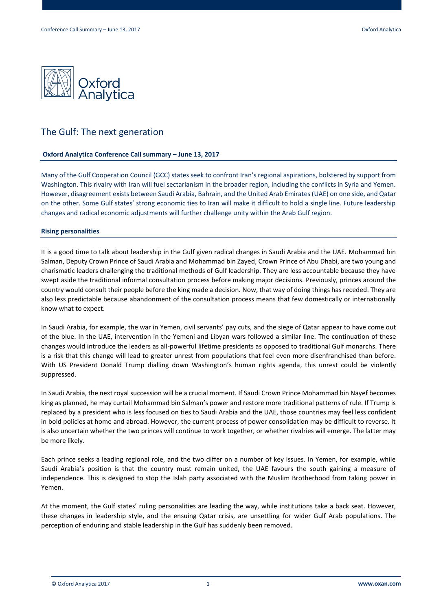

# The Gulf: The next generation

## **Oxford Analytica Conference Call summary – June 13, 2017**

Many of the Gulf Cooperation Council (GCC) states seek to confront Iran's regional aspirations, bolstered by support from Washington. This rivalry with Iran will fuel sectarianism in the broader region, including the conflicts in Syria and Yemen. However, disagreement exists between Saudi Arabia, Bahrain, and the United Arab Emirates (UAE) on one side, and Qatar on the other. Some Gulf states' strong economic ties to Iran will make it difficult to hold a single line. Future leadership changes and radical economic adjustments will further challenge unity within the Arab Gulf region.

## **Rising personalities**

It is a good time to talk about leadership in the Gulf given radical changes in Saudi Arabia and the UAE. Mohammad bin Salman, Deputy Crown Prince of Saudi Arabia and Mohammad bin Zayed, Crown Prince of Abu Dhabi, are two young and charismatic leaders challenging the traditional methods of Gulf leadership. They are less accountable because they have swept aside the traditional informal consultation process before making major decisions. Previously, princes around the country would consult their people before the king made a decision. Now, that way of doing things has receded. They are also less predictable because abandonment of the consultation process means that few domestically or internationally know what to expect.

In Saudi Arabia, for example, the war in Yemen, civil servants' pay cuts, and the siege of Qatar appear to have come out of the blue. In the UAE, intervention in the Yemeni and Libyan wars followed a similar line. The continuation of these changes would introduce the leaders as all-powerful lifetime presidents as opposed to traditional Gulf monarchs. There is a risk that this change will lead to greater unrest from populations that feel even more disenfranchised than before. With US President Donald Trump dialling down Washington's human rights agenda, this unrest could be violently suppressed.

In Saudi Arabia, the next royal succession will be a crucial moment. If Saudi Crown Prince Mohammad bin Nayef becomes king as planned, he may curtail Mohammad bin Salman's power and restore more traditional patterns of rule. If Trump is replaced by a president who is less focused on ties to Saudi Arabia and the UAE, those countries may feel less confident in bold policies at home and abroad. However, the current process of power consolidation may be difficult to reverse. It is also uncertain whether the two princes will continue to work together, or whether rivalries will emerge. The latter may be more likely.

Each prince seeks a leading regional role, and the two differ on a number of key issues. In Yemen, for example, while Saudi Arabia's position is that the country must remain united, the UAE favours the south gaining a measure of independence. This is designed to stop the Islah party associated with the Muslim Brotherhood from taking power in Yemen.

At the moment, the Gulf states' ruling personalities are leading the way, while institutions take a back seat. However, these changes in leadership style, and the ensuing Qatar crisis, are unsettling for wider Gulf Arab populations. The perception of enduring and stable leadership in the Gulf has suddenly been removed.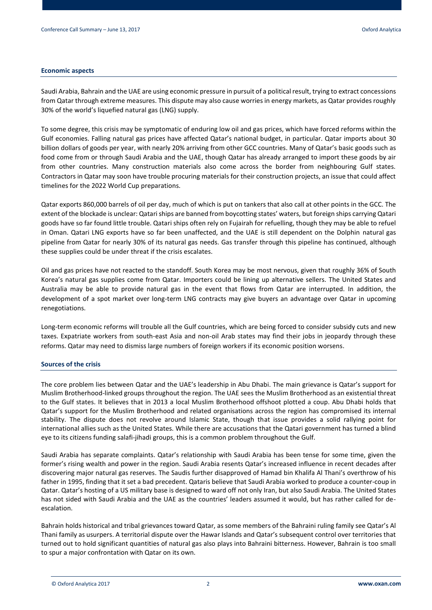## **Economic aspects**

Saudi Arabia, Bahrain and the UAE are using economic pressure in pursuit of a political result, trying to extract concessions from Qatar through extreme measures. This dispute may also cause worries in energy markets, as Qatar provides roughly 30% of the world's liquefied natural gas (LNG) supply.

To some degree, this crisis may be symptomatic of enduring low oil and gas prices, which have forced reforms within the Gulf economies. Falling natural gas prices have affected Qatar's national budget, in particular. Qatar imports about 30 billion dollars of goods per year, with nearly 20% arriving from other GCC countries. Many of Qatar's basic goods such as food come from or through Saudi Arabia and the UAE, though Qatar has already arranged to import these goods by air from other countries. Many construction materials also come across the border from neighbouring Gulf states. Contractors in Qatar may soon have trouble procuring materials for their construction projects, an issue that could affect timelines for the 2022 World Cup preparations.

Qatar exports 860,000 barrels of oil per day, much of which is put on tankers that also call at other points in the GCC. The extent of the blockade is unclear: Qatari ships are banned from boycotting states' waters, but foreign ships carrying Qatari goods have so far found little trouble. Qatari ships often rely on Fujairah for refuelling, though they may be able to refuel in Oman. Qatari LNG exports have so far been unaffected, and the UAE is still dependent on the Dolphin natural gas pipeline from Qatar for nearly 30% of its natural gas needs. Gas transfer through this pipeline has continued, although these supplies could be under threat if the crisis escalates.

Oil and gas prices have not reacted to the standoff. South Korea may be most nervous, given that roughly 36% of South Korea's natural gas supplies come from Qatar. Importers could be lining up alternative sellers. The United States and Australia may be able to provide natural gas in the event that flows from Qatar are interrupted. In addition, the development of a spot market over long-term LNG contracts may give buyers an advantage over Qatar in upcoming renegotiations.

Long-term economic reforms will trouble all the Gulf countries, which are being forced to consider subsidy cuts and new taxes. Expatriate workers from south-east Asia and non-oil Arab states may find their jobs in jeopardy through these reforms. Qatar may need to dismiss large numbers of foreign workers if its economic position worsens.

# **Sources of the crisis**

The core problem lies between Qatar and the UAE's leadership in Abu Dhabi. The main grievance is Qatar's support for Muslim Brotherhood-linked groups throughout the region. The UAE sees the Muslim Brotherhood as an existential threat to the Gulf states. It believes that in 2013 a local Muslim Brotherhood offshoot plotted a coup. Abu Dhabi holds that Qatar's support for the Muslim Brotherhood and related organisations across the region has compromised its internal stability. The dispute does not revolve around Islamic State, though that issue provides a solid rallying point for international allies such as the United States. While there are accusations that the Qatari government has turned a blind eye to its citizens funding salafi-jihadi groups, this is a common problem throughout the Gulf.

Saudi Arabia has separate complaints. Qatar's relationship with Saudi Arabia has been tense for some time, given the former's rising wealth and power in the region. Saudi Arabia resents Qatar's increased influence in recent decades after discovering major natural gas reserves. The Saudis further disapproved of Hamad bin Khalifa Al Thani's overthrow of his father in 1995, finding that it set a bad precedent. Qataris believe that Saudi Arabia worked to produce a counter-coup in Qatar. Qatar's hosting of a US military base is designed to ward off not only Iran, but also Saudi Arabia. The United States has not sided with Saudi Arabia and the UAE as the countries' leaders assumed it would, but has rather called for deescalation.

Bahrain holds historical and tribal grievances toward Qatar, as some members of the Bahraini ruling family see Qatar's Al Thani family as usurpers. A territorial dispute over the Hawar Islands and Qatar's subsequent control over territories that turned out to hold significant quantities of natural gas also plays into Bahraini bitterness. However, Bahrain is too small to spur a major confrontation with Qatar on its own.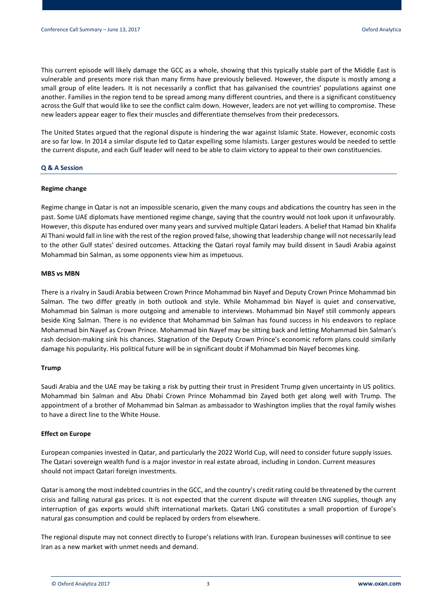This current episode will likely damage the GCC as a whole, showing that this typically stable part of the Middle East is vulnerable and presents more risk than many firms have previously believed. However, the dispute is mostly among a small group of elite leaders. It is not necessarily a conflict that has galvanised the countries' populations against one another. Families in the region tend to be spread among many different countries, and there is a significant constituency across the Gulf that would like to see the conflict calm down. However, leaders are not yet willing to compromise. These new leaders appear eager to flex their muscles and differentiate themselves from their predecessors.

The United States argued that the regional dispute is hindering the war against Islamic State. However, economic costs are so far low. In 2014 a similar dispute led to Qatar expelling some Islamists. Larger gestures would be needed to settle the current dispute, and each Gulf leader will need to be able to claim victory to appeal to their own constituencies.

## **Q & A Session**

#### **Regime change**

Regime change in Qatar is not an impossible scenario, given the many coups and abdications the country has seen in the past. Some UAE diplomats have mentioned regime change, saying that the country would not look upon it unfavourably. However, this dispute has endured over many years and survived multiple Qatari leaders. A belief that Hamad bin Khalifa Al Thani would fall in line with the rest of the region proved false, showing that leadership change will not necessarily lead to the other Gulf states' desired outcomes. Attacking the Qatari royal family may build dissent in Saudi Arabia against Mohammad bin Salman, as some opponents view him as impetuous.

#### **MBS vs MBN**

There is a rivalry in Saudi Arabia between Crown Prince Mohammad bin Nayef and Deputy Crown Prince Mohammad bin Salman. The two differ greatly in both outlook and style. While Mohammad bin Nayef is quiet and conservative, Mohammad bin Salman is more outgoing and amenable to interviews. Mohammad bin Nayef still commonly appears beside King Salman. There is no evidence that Mohammad bin Salman has found success in his endeavors to replace Mohammad bin Nayef as Crown Prince. Mohammad bin Nayef may be sitting back and letting Mohammad bin Salman's rash decision-making sink his chances. Stagnation of the Deputy Crown Prince's economic reform plans could similarly damage his popularity. His political future will be in significant doubt if Mohammad bin Nayef becomes king.

## **Trump**

Saudi Arabia and the UAE may be taking a risk by putting their trust in President Trump given uncertainty in US politics. Mohammad bin Salman and Abu Dhabi Crown Prince Mohammad bin Zayed both get along well with Trump. The appointment of a brother of Mohammad bin Salman as ambassador to Washington implies that the royal family wishes to have a direct line to the White House.

## **Effect on Europe**

European companies invested in Qatar, and particularly the 2022 World Cup, will need to consider future supply issues. The Qatari sovereign wealth fund is a major investor in real estate abroad, including in London. Current measures should not impact Qatari foreign investments.

Qatar is among the most indebted countries in the GCC, and the country's credit rating could be threatened by the current crisis and falling natural gas prices. It is not expected that the current dispute will threaten LNG supplies, though any interruption of gas exports would shift international markets. Qatari LNG constitutes a small proportion of Europe's natural gas consumption and could be replaced by orders from elsewhere.

The regional dispute may not connect directly to Europe's relations with Iran. European businesses will continue to see Iran as a new market with unmet needs and demand.